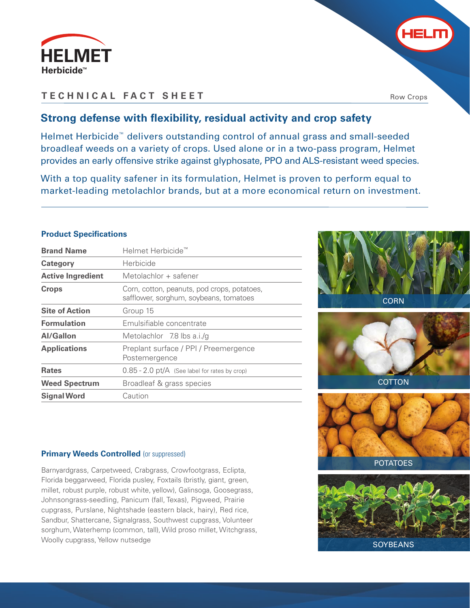

## **TECHNICAL FACT SHEET**

Row Crops

HELM

# **Strong defense with flexibility, residual activity and crop safety**

Helmet Herbicide™ delivers outstanding control of annual grass and small-seeded broadleaf weeds on a variety of crops. Used alone or in a two-pass program, Helmet provides an early offensive strike against glyphosate, PPO and ALS-resistant weed species.

With a top quality safener in its formulation, Helmet is proven to perform equal to market-leading metolachlor brands, but at a more economical return on investment.

## **Product Specifications**

| <b>Brand Name</b>        | Helmet Herbicide <sup>™</sup>                                                         |  |
|--------------------------|---------------------------------------------------------------------------------------|--|
| Category                 | Herbicide                                                                             |  |
| <b>Active Ingredient</b> | Metolachlor + safener                                                                 |  |
| <b>Crops</b>             | Corn, cotton, peanuts, pod crops, potatoes,<br>safflower, sorghum, soybeans, tomatoes |  |
| <b>Site of Action</b>    | Group 15                                                                              |  |
| <b>Formulation</b>       | Emulsifiable concentrate                                                              |  |
| Al/Gallon                | Metolachlor 7.8 lbs a.i./g                                                            |  |
| <b>Applications</b>      | Preplant surface / PPI / Preemergence<br>Postemergence                                |  |
| <b>Rates</b>             | $0.85 - 2.0$ pt/A (See label for rates by crop)                                       |  |
| <b>Weed Spectrum</b>     | Broadleaf & grass species                                                             |  |
| <b>Signal Word</b>       | Caution                                                                               |  |







### **Primary Weeds Controlled (or suppressed)**

Barnyardgrass, Carpetweed, Crabgrass, Crowfootgrass, Eclipta, Florida beggarweed, Florida pusley, Foxtails (bristly, giant, green, millet, robust purple, robust white, yellow), Galinsoga, Goosegrass, Johnsongrass-seedling, Panicum (fall, Texas), Pigweed, Prairie cupgrass, Purslane, Nightshade (eastern black, hairy), Red rice, Sandbur, Shattercane, Signalgrass, Southwest cupgrass, Volunteer sorghum, Waterhemp (common, tall), Wild proso millet, Witchgrass, Woolly cupgrass, Yellow nutsedge

**SOYBEANS**